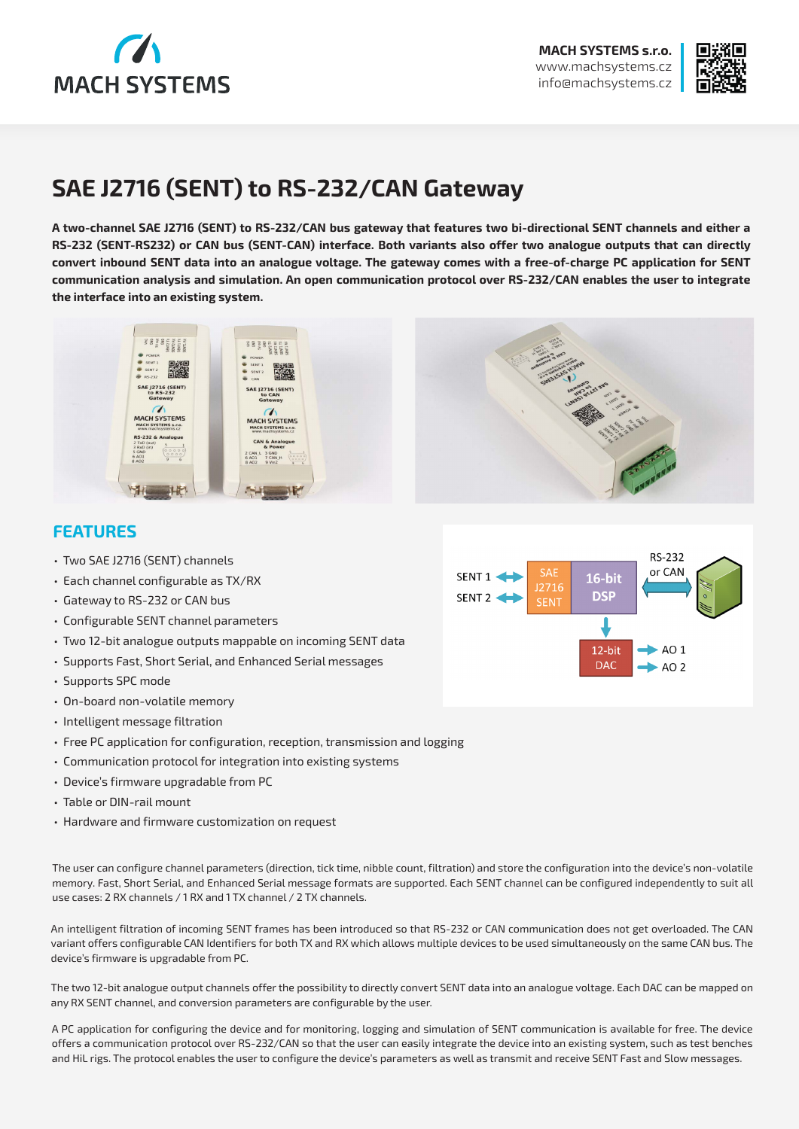



# **SAE J2716 (SENT) to RS-232/CAN Gateway**

**A two-channel SAE J2716 (SENT) to RS-232/CAN bus gateway that features two bi-directional SENT channels and either a RS-232 (SENT-RS232) or CAN bus (SENT-CAN) interface. Both variants also offer two analogue outputs that can directly convert inbound SENT data into an analogue voltage. The gateway comes with a free-of-charge PC application for SENT communication analysis and simulation. An open communication protocol over RS-232/CAN enables the user to integrate the interface into an existing system.** 



### **FEATURES**

- Two SAE J2716 (SENT) channels
- Each channel configurable as TX/RX
- Gateway to RS-232 or CAN bus
- Configurable SENT channel parameters
- Two 12-bit analogue outputs mappable on incoming SENT data
- Supports Fast, Short Serial, and Enhanced Serial messages
- Supports SPC mode
- On-board non-volatile memory
- Intelligent message filtration
- Free PC application for configuration, reception, transmission and logging
- Communication protocol for integration into existing systems
- Device's firmware upgradable from PC
- Table or DIN-rail mount
- Hardware and firmware customization on request

The user can configure channel parameters (direction, tick time, nibble count, filtration) and store the configuration into the device's non-volatile memory. Fast, Short Serial, and Enhanced Serial message formats are supported. Each SENT channel can be configured independently to suit all use cases: 2 RX channels / 1 RX and 1 TX channel / 2 TX channels.

An intelligent filtration of incoming SENT frames has been introduced so that RS-232 or CAN communication does not get overloaded. The CAN variant offers configurable CAN Identifiers for both TX and RX which allows multiple devices to be used simultaneously on the same CAN bus. The device's firmware is upgradable from PC.

The two 12-bit analogue output channels offer the possibility to directly convert SENT data into an analogue voltage. Each DAC can be mapped on any RX SENT channel, and conversion parameters are configurable by the user.

A PC application for configuring the device and for monitoring, logging and simulation of SENT communication is available for free. The device offers a communication protocol over RS-232/CAN so that the user can easily integrate the device into an existing system, such as test benches and HiL rigs. The protocol enables the user to configure the device's parameters as well as transmit and receive SENT Fast and Slow messages.

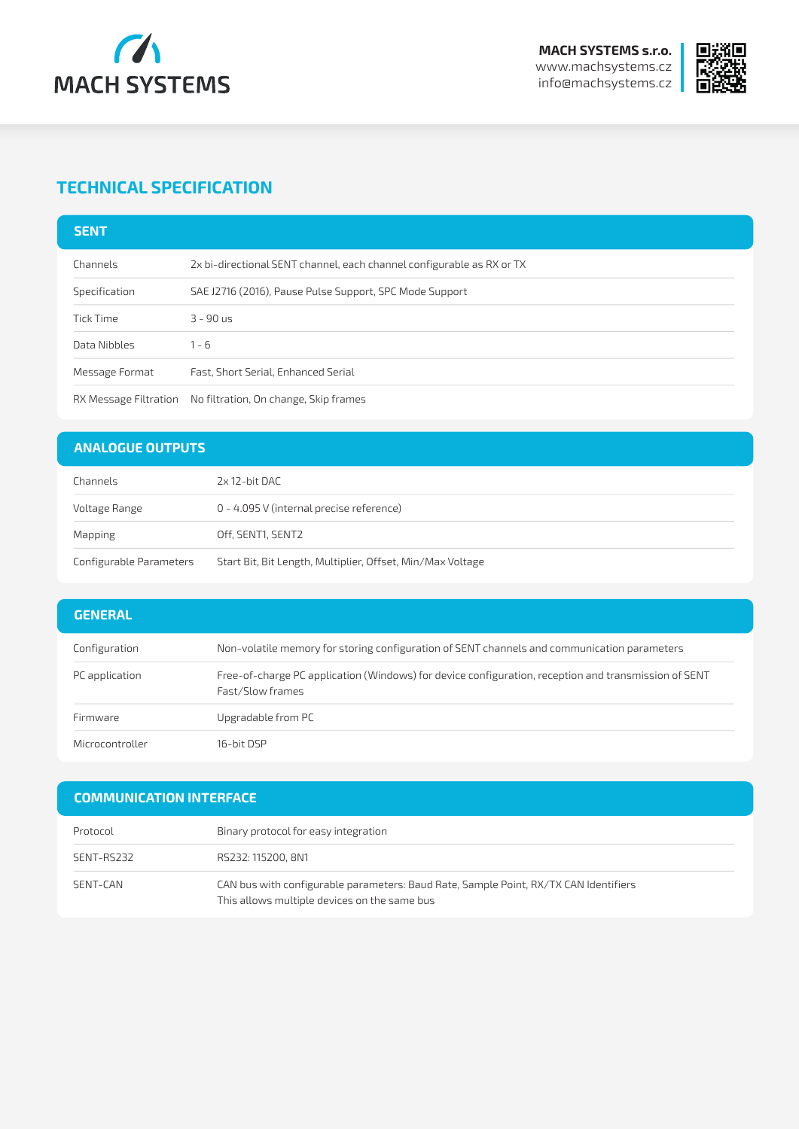



# **TECHNICAL SPECIFICATION**

| <b>SENT</b>           |                                                                       |
|-----------------------|-----------------------------------------------------------------------|
| Channels              | 2x bi-directional SENT channel, each channel configurable as RX or TX |
| Specification         | SAE J2716 (2016), Pause Pulse Support, SPC Mode Support               |
| Tick Time             | $3 - 90$ us                                                           |
| Data Nibbles          | $1 - 6$                                                               |
| Message Format        | Fast, Short Serial, Enhanced Serial                                   |
| RX Message Filtration | No filtration, On change, Skip frames                                 |

#### **ANALOGUE OUTPUTS**

| Channels                | 2x 12-bit DAC                                              |  |
|-------------------------|------------------------------------------------------------|--|
| Voltage Range           | 0 - 4.095 V (internal precise reference)                   |  |
| Mapping                 | Off, SENT1, SENT2                                          |  |
| Configurable Parameters | Start Bit, Bit Length, Multiplier, Offset, Min/Max Voltage |  |

| <b>GENERAL</b>  |                                                                                                                          |
|-----------------|--------------------------------------------------------------------------------------------------------------------------|
| Configuration   | Non-volatile memory for storing configuration of SENT channels and communication parameters                              |
| PC application  | Free-of-charge PC application (Windows) for device configuration, reception and transmission of SENT<br>Fast/Slow frames |
| Firmware        | Upgradable from PC                                                                                                       |
| Microcontroller | 16-hit DSP                                                                                                               |

#### **COMMUNICATION INTERFACE**

| Protocol   | Binary protocol for easy integration                                                                                                 |
|------------|--------------------------------------------------------------------------------------------------------------------------------------|
| SENT-RS232 | RS232: 115200, 8N1                                                                                                                   |
| SENT-CAN   | CAN bus with configurable parameters: Baud Rate, Sample Point, RX/TX CAN Identifiers<br>This allows multiple devices on the same bus |